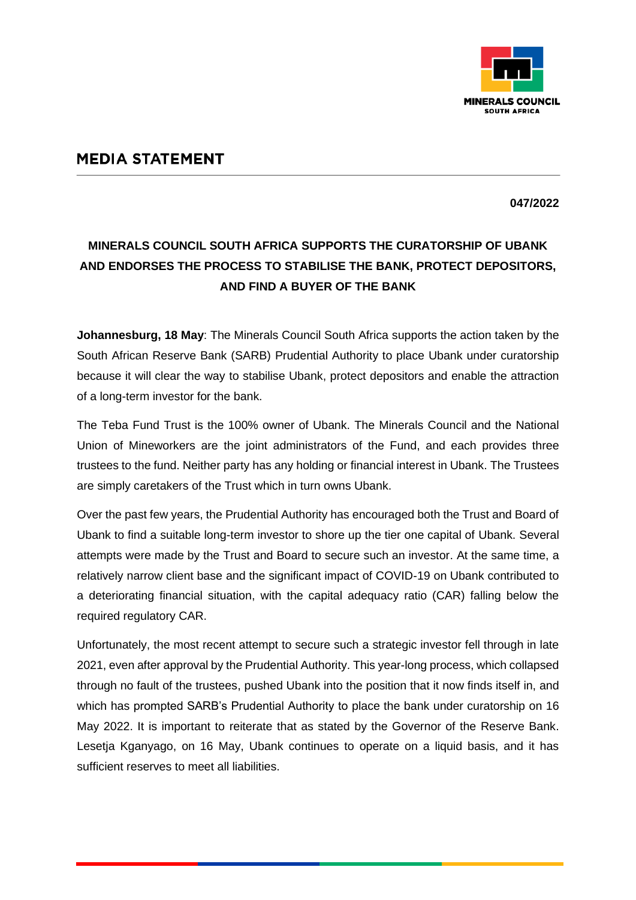

## **MEDIA STATEMENT**

**047/2022**

## **MINERALS COUNCIL SOUTH AFRICA SUPPORTS THE CURATORSHIP OF UBANK AND ENDORSES THE PROCESS TO STABILISE THE BANK, PROTECT DEPOSITORS, AND FIND A BUYER OF THE BANK**

**Johannesburg, 18 May**: The Minerals Council South Africa supports the action taken by the South African Reserve Bank (SARB) Prudential Authority to place Ubank under curatorship because it will clear the way to stabilise Ubank, protect depositors and enable the attraction of a long-term investor for the bank.

The Teba Fund Trust is the 100% owner of Ubank. The Minerals Council and the National Union of Mineworkers are the joint administrators of the Fund, and each provides three trustees to the fund. Neither party has any holding or financial interest in Ubank. The Trustees are simply caretakers of the Trust which in turn owns Ubank.

Over the past few years, the Prudential Authority has encouraged both the Trust and Board of Ubank to find a suitable long-term investor to shore up the tier one capital of Ubank. Several attempts were made by the Trust and Board to secure such an investor. At the same time, a relatively narrow client base and the significant impact of COVID-19 on Ubank contributed to a deteriorating financial situation, with the capital adequacy ratio (CAR) falling below the required regulatory CAR.

Unfortunately, the most recent attempt to secure such a strategic investor fell through in late 2021, even after approval by the Prudential Authority. This year-long process, which collapsed through no fault of the trustees, pushed Ubank into the position that it now finds itself in, and which has prompted SARB's Prudential Authority to place the bank under curatorship on 16 May 2022. It is important to reiterate that as stated by the Governor of the Reserve Bank. Lesetja Kganyago, on 16 May, Ubank continues to operate on a liquid basis, and it has sufficient reserves to meet all liabilities.